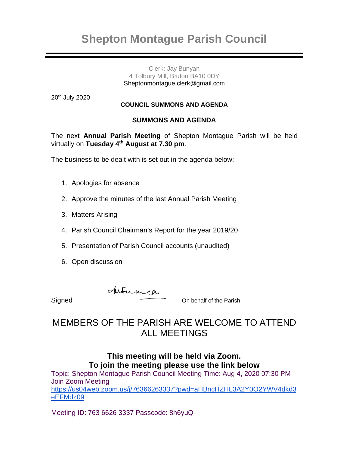# **Shepton Montague Parish Council**

#### Clerk: Jay Bunyan 4 Tolbury Mill, Bruton BA10 0DY [Sheptonmontague.clerk@gmail.com](mailto:Sheptonmontague.clerk@gmail.com)

20th July 2020

#### **COUNCIL SUMMONS AND AGENDA**

#### **SUMMONS AND AGENDA**

The next **Annual Parish Meeting** of Shepton Montague Parish will be held virtually on **Tuesday 4th August at 7.30 pm**.

The business to be dealt with is set out in the agenda below:

- 1. Apologies for absence
- 2. Approve the minutes of the last Annual Parish Meeting
- 3. Matters Arising
- 4. Parish Council Chairman's Report for the year 2019/20
- 5. Presentation of Parish Council accounts (unaudited)
- 6. Open discussion

Signed Autuma 24

### MEMBERS OF THE PARISH ARE WELCOME TO ATTEND ALL MEETINGS

### **This meeting will be held via Zoom. To join the meeting please use the link below**

Topic: Shepton Montague Parish Council Meeting Time: Aug 4, 2020 07:30 PM Join Zoom Meeting [https://us04web.zoom.us/j/76366263337?pwd=aHBncHZHL3A2Y0Q2YWV4dkd3](https://us04web.zoom.us/j/76366263337?pwd=aHBncHZHL3A2Y0Q2YWV4dkd3eEFMdz09) [eEFMdz09](https://us04web.zoom.us/j/76366263337?pwd=aHBncHZHL3A2Y0Q2YWV4dkd3eEFMdz09)

Meeting ID: 763 6626 3337 Passcode: 8h6yuQ